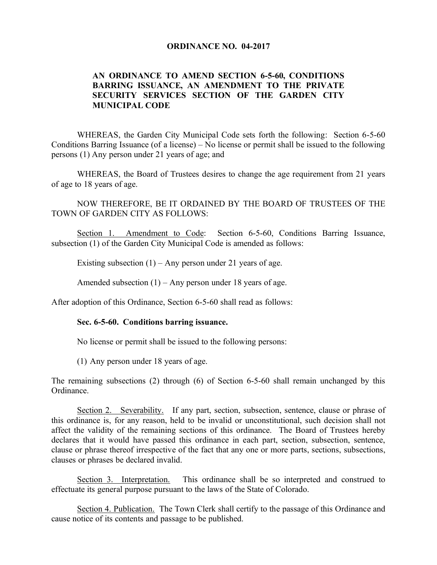## **ORDINANCE NO. 04-2017**

## **AN ORDINANCE TO AMEND SECTION 6-5-60, CONDITIONS BARRING ISSUANCE, AN AMENDMENT TO THE PRIVATE SECURITY SERVICES SECTION OF THE GARDEN CITY MUNICIPAL CODE**

WHEREAS, the Garden City Municipal Code sets forth the following: Section 6-5-60 Conditions Barring Issuance (of a license) – No license or permit shall be issued to the following persons (1) Any person under 21 years of age; and

WHEREAS, the Board of Trustees desires to change the age requirement from 21 years of age to 18 years of age.

NOW THEREFORE, BE IT ORDAINED BY THE BOARD OF TRUSTEES OF THE TOWN OF GARDEN CITY AS FOLLOWS:

Section 1. Amendment to Code: Section 6-5-60, Conditions Barring Issuance, subsection (1) of the Garden City Municipal Code is amended as follows:

Existing subsection  $(1)$  – Any person under 21 years of age.

Amended subsection  $(1)$  – Any person under 18 years of age.

After adoption of this Ordinance, Section 6-5-60 shall read as follows:

## **Sec. 6-5-60. Conditions barring issuance.**

No license or permit shall be issued to the following persons:

(1) Any person under 18 years of age.

The remaining subsections (2) through (6) of Section 6-5-60 shall remain unchanged by this Ordinance.

Section 2. Severability. If any part, section, subsection, sentence, clause or phrase of this ordinance is, for any reason, held to be invalid or unconstitutional, such decision shall not affect the validity of the remaining sections of this ordinance. The Board of Trustees hereby declares that it would have passed this ordinance in each part, section, subsection, sentence, clause or phrase thereof irrespective of the fact that any one or more parts, sections, subsections, clauses or phrases be declared invalid.

Section 3. Interpretation. This ordinance shall be so interpreted and construed to effectuate its general purpose pursuant to the laws of the State of Colorado.

Section 4. Publication. The Town Clerk shall certify to the passage of this Ordinance and cause notice of its contents and passage to be published.